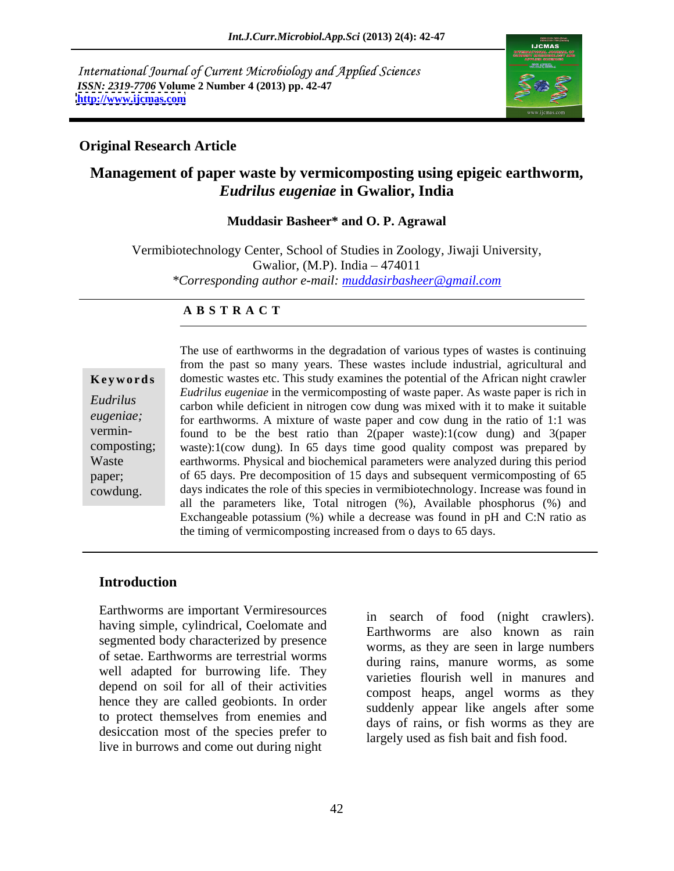International Journal of Current Microbiology and Applied Sciences *ISSN: 2319-7706* **Volume 2 Number 4 (2013) pp. 42-47 <http://www.ijcmas.com>**



## **Original Research Article**

# **Management of paper waste by vermicomposting using epigeic earthworm,**  *Eudrilus eugeniae* **in Gwalior, India**

### **Muddasir Basheer\* and O. P. Agrawal**

Vermibiotechnology Center, School of Studies in Zoology, Jiwaji University, Gwalior, (M.P). India  $-474011$ *\*Corresponding author e-mail: muddasirbasheer@gmail.com*

### **A B S T R A C T**

**Keywords** domestic wastes etc. This study examines the potential of the African night crawler *Eudrilus* carbon while deficient in nitrogen cow dung was mixed with it to make it suitable *eugeniae;* for earthworms. A mixture of waste paper and cow dung in the ratio of 1:1 was vermin-<br>found to be the best ratio than  $2$ (paper waste):1(cow dung) and 3(paper composting; waste):1(cow dung). In 65 days time good quality compost was prepared by Waste earthworms. Physical and biochemical parameters were analyzed during this period paper; of 65 days. Pre decomposition of 15 days and subsequent vermicomposting of 65 cowdung. days indicates the role of this species in vermibiotechnology. Increase was found in The use of earthworms in the degradation of various types of wastes is continuing from the past so many years. These wastes include industrial, agricultural and *Eudrilus eugeniae* in the vermicomposting of waste paper. As waste paper is rich in all the parameters like, Total nitrogen (%), Available phosphorus (%) and Exchangeable potassium (%) while a decrease was found in pH and C:N ratio as the timing of vermicomposting increased from o days to 65 days.

### **Introduction**

Earthworms are important Vermiresources having simple, cylindrical, Coelomate and segmented body characterized by presence of setae. Earthworms are terrestrial worms well adapted for burrowing life. They depend on soil for all of their activities hence they are called geobionts. In order to protect themselves from enemies and desiccation most of the species prefer to live in burrows and come out during night

in search of food (night crawlers). Earthworms are also known as rain worms, as they are seen in large numbers during rains, manure worms, as some varieties flourish well in manures and compost heaps, angel worms as they suddenly appear like angels after some days of rains, or fish worms as they are largely used as fish bait and fish food.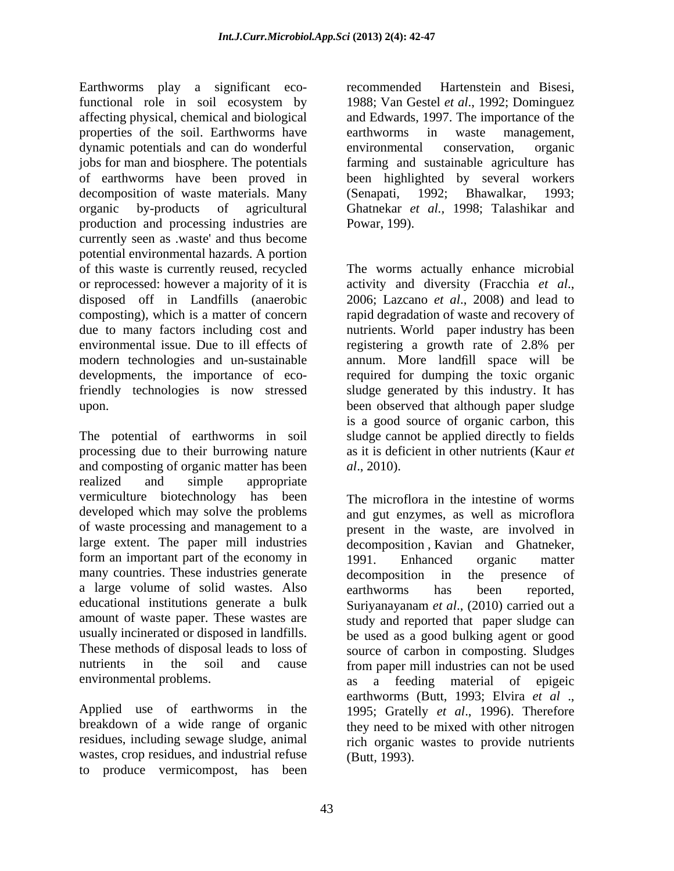Earthworms play a significant eco- recommended Hartenstein and Bisesi, functional role in soil ecosystem by 1988; Van Gestel et al., 1992; Dominguez affecting physical, chemical and biological and Edwards, 1997. The importance of the properties of the soil. Earthworms have earthworms in waste management, dynamic potentials and can do wonderful environmental conservation, organic jobs for man and biosphere. The potentials farming and sustainable agriculture has of earthworms have been proved in been highlighted by several workers decomposition of waste materials. Many (Senapati, 1992; Bhawalkar, 1993; organic by-products of agricultural Ghatnekar *et al.,* 1998; Talashikar and production and processing industries are Powar, 199). currently seen as .waste' and thus become potential environmental hazards. A portion of this waste is currently reused, recycled or reprocessed: however a majority of it is activity and diversity (Fracchia et al., disposed off in Landfills (anaerobic 2006; Lazcano et al., 2008) and lead to composting), which is a matter of concern rapid degradation of waste and recovery of due to many factors including cost and nutrients. World paper industry has been environmental issue. Due to ill effects of registering a growth rate of 2.8% per modern technologies and un-sustainable annum. More landfill space will be developments, the importance of eco-required for dumping the toxic organic friendly technologies is now stressed sludge generated by this industry. It has upon. been observed that although paper sludge

The potential of earthworms in soil processing due to their burrowing nature and composting of organic matter has been *al.*, 2010). realized and simple appropriate vermiculture biotechnology has been developed which may solve the problems and gut enzymes, as well as microflora of waste processing and management to a present in the waste, are involved in large extent. The paper mill industries decomposition , Kavian and Ghatneker, form an important part of the economy in 1991. Enhanced organic matter many countries. These industries generate decomposition in the presence of a large volume of solid wastes. Also earthworms has been reported,<br>educational institutions generate a bulk Surivanayanam et al. (2010) carried out a educational institutions generate a bulk Suriyanayanam *et al*., (2010) carried out a amount of waste paper. These wastes are study and reported that paper sludge can usually incinerated or disposed in landfills. be used as a good bulking agent or good These methods of disposal leads to loss of source of carbon in composting. Sludges nutrients in the soil and cause from paper mill industries can not be used

Applied use of earthworms in the wastes, crop residues, and industrial refuse to produce vermicompost, has been

recommended Hartenstein and Bisesi, 1988; Van Gestel *et al*., 1992; Dominguez earthworms in waste management, environmental conservation, organic  $(Senapati, 1992;$ 

Powar, 199).<br>The worms actually enhance microbial activity and diversity (Fracchia *et al*., 2006; Lazcano *et al*., 2008) and lead to registering a growth rate of 2.8% per is a good source of organic carbon, this sludge cannot be applied directly to fields as it is deficient in other nutrients (Kaur *et al*., 2010).

environmental problems. as a feeding material of epigeic breakdown of a wide range of organic they need to be mixed with other nitrogen residues, including sewage sludge, animal rich organic wastes to provide nutrients The microflora in the intestine of worms 1991. Enhanced organic matter decomposition in the presence of earthworms has been reported, earthworms (Butt, 1993; Elvira *et al* ., 1995; Gratelly *et al*., 1996). Therefore (Butt, 1993).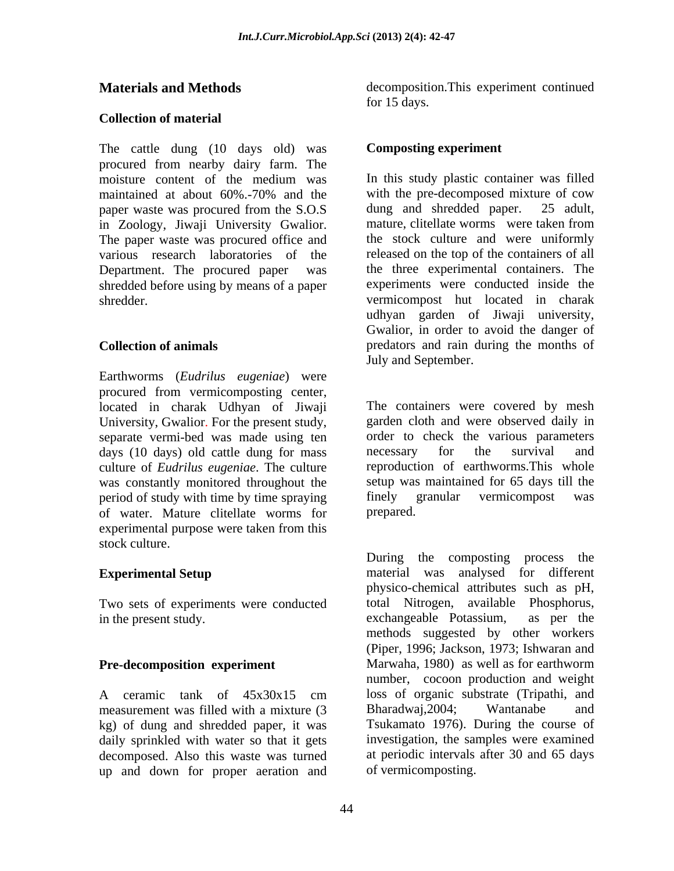## **Collection of material**

The cattle dung (10 days old) was procured from nearby dairy farm. The paper waste was procured from the S.O.S dung and shredded paper. 25 adult,<br>in Zoology. Jiwaii University Gwalior. mature, clitellate worms were taken from in Zoology, Jiwaji University Gwalior. The paper waste was procured office and shredded before using by means of a paper

Earthworms (*Eudrilus eugeniae*) were procured from vermicomposting center, located in charak Udhyan of Jiwaji University, Gwalior. For the present study, separate vermi-bed was made using ten order to check the various para days (10 days) old cattle dung for mass are necessary for the survival days (10 days) old cattle dung for mass and necessary for the survival and culture of *Eudrilus eugeniae*. The culture was constantly monitored throughout the setup was maintained for 65 days the verticon of study with time by time spraying finely granular vermicompost period of study with time by time spraying finely granular vermicompost was of water. Mature clitellate worms for experimental purpose were taken from this stock culture.

Two sets of experiments were conducted total Nitrogen, available Phosphorus,<br>in the present study.<br>exchangeable Potassium, as per the in the present study. exchangeable Potassium,

measurement was filled with a mixture (3 Bharadwai, 2004; Wantanabe and kg) of dung and shredded paper, it was daily sprinkled with water so that it gets decomposed. Also this waste was turned up and down for proper aeration and

**Materials and Methods** decomposition.This experiment continued for 15 days.

# **Composting experiment**

moisture content of the medium was In this study plastic container was filled maintained at about 60%.-70% and the various research laboratories of the released on the top of the containers of all Department. The procured paper was the three experimental containers. The shredder. vermicompost hut located in charak **Collection of animals** predators and rain during the months of In this study plastic container was filled with the pre-decomposed mixture of cow dung and shredded paper. mature, clitellate worms were taken from the stock culture and were uniformly experiments were conducted inside the udhyan garden of Jiwaji university, Gwalior, in order to avoid the danger of July and September.

> The containers were covered by mesh garden cloth and were observed daily in order to check the various parameters necessary for the survival and reproduction of earthworms.This whole setup was maintained for 65 days till the finely granular vermicompost was prepared.

**Experimental Setup** material was analysed for different **Pre-decomposition experiment** Marwaha, 1980) as well as for earthworm A ceramic tank of  $45x30x15$  cm loss of organic substrate (Tripathi, and During the composting process the physico-chemical attributes such as pH, total Nitrogen, available Phosphorus, exchangeable Potassium, as per the methods suggested by other workers (Piper, 1996; Jackson, 1973; Ishwaran and number, cocoon production and weight loss of organic substrate (Tripathi, and Bharadwaj,2004; Wantanabe and Tsukamato 1976). During the course of investigation, the samples were examined at periodic intervals after 30 and 65 days of vermicomposting.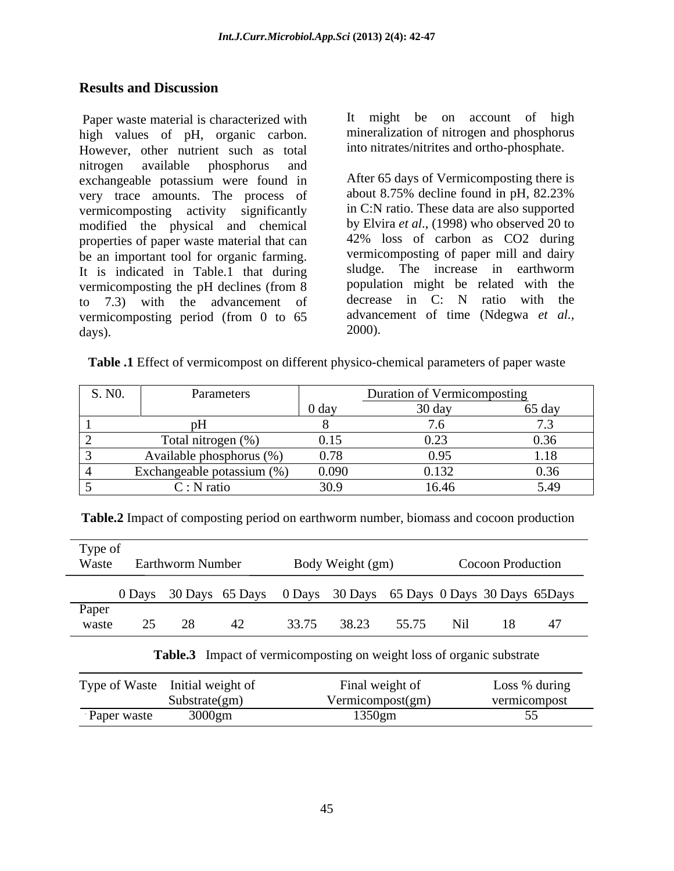# **Results and Discussion**

Paper waste material is characterized with high values of pH, organic carbon. However, other nutrient such as total nitrogen available phosphorus and exchangeable potassium were found in After 65 days of Vermicomposting there is<br>very trace amounts. The process of about 8.75% decline found in pH, 82.23% very trace amounts. The process of vermicomposting activity significantly modified the physical and chemical properties of paper waste material that can be an important tool for organic farming. It is indicated in Table.1 that during sludge. The increase in earthworm vermicomposting the pH declines (from 8 population might be related with the to 7.3) with the advancement of vermicomposting period (from 0 to 65 advanced above) and days)  $\frac{2000}{2000}$ .

It might be on account of high mineralization of nitrogen and phosphorus into nitrates/nitrites and ortho-phosphate.

After 65 days of Vermicomposting there is about 8.75% decline found in pH, 82.23% in C:N ratio. These data are also supported by Elvira *et al*., (1998) who observed 20 to 42% loss of carbon as CO2 during vermicomposting of paper mill and dairy sludge. The increase in earthworm population might be related with the decrease in C: N ratio with the advancement of time (Ndegwa *et al.,* 2000).

| Table .1 Effect<br>- chemical parameters of<br>, as ce |
|--------------------------------------------------------|
|--------------------------------------------------------|

| S. NO. | Parameters                 |                  | Duration of Vermicomposting |        |
|--------|----------------------------|------------------|-----------------------------|--------|
|        |                            | 0 day            | 30 day                      | 65 day |
|        |                            |                  |                             |        |
|        | Total nitrogen (%)         | 0.15             | $\sim$<br>0.23              | 0.36   |
|        | Available phosphorus (%)   | 0.78             | 0.95                        | 18     |
|        | Exchangeable potassium (%) | 0.090            | 0.132                       |        |
|        | $\cup$ : N ratio           | 30 O.<br>ر . ں ر | 16.46                       | 5.49   |

**Table.2** Impact of composting period on earthworm number, biomass and cocoon production

| Type of<br>Waste |        | <b>Earthworm Number</b> |       | Body Weight (gm) |       | <b>Cocoon Production</b> |                                                               |
|------------------|--------|-------------------------|-------|------------------|-------|--------------------------|---------------------------------------------------------------|
|                  | 0 Days |                         |       |                  |       |                          | 30 Days 65 Days 0 Days 30 Days 65 Days 0 Days 30 Days 65 Days |
| Paper<br>waste   |        |                         | 33.75 | 38.23            | 55.75 |                          |                                                               |

### **Table.3** Impact of vermicomposting on weight loss of organic substrate

| no.<br><b>Type of Waste</b> | Initial weight of | l weight of<br>Hinal | during<br>LOSS |
|-----------------------------|-------------------|----------------------|----------------|
|                             | Substrate(gm)     | Vermicompost(gm)     | vermicomposi   |
| ∽<br>Paper waste            | 3000gm            | 1350gm               | ັັ             |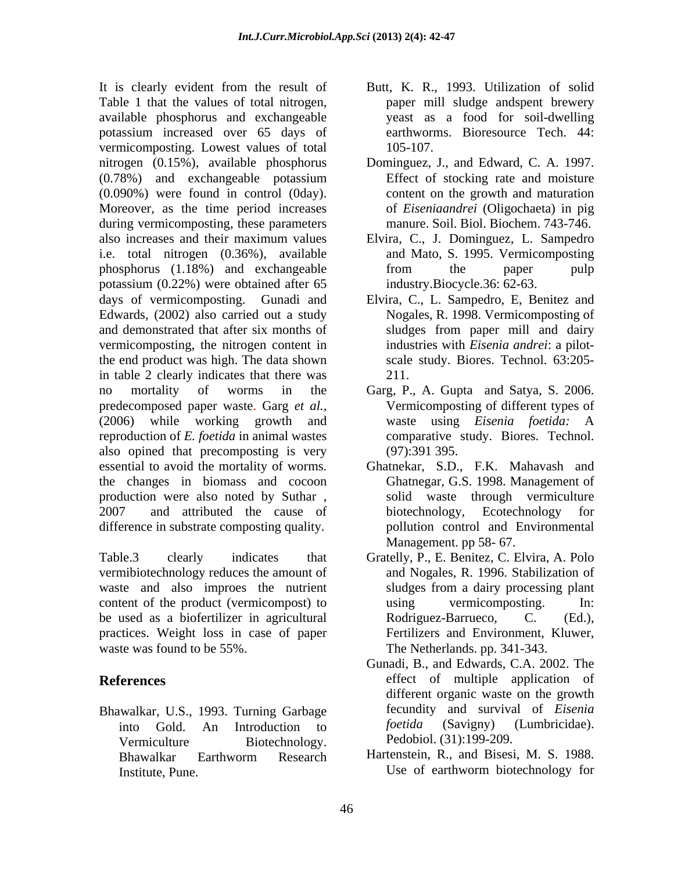It is clearly evident from the result of Butt, K. R., 1993. Utilization of solid Table 1 that the values of total nitrogen, available phosphorus and exchangeable potassium increased over 65 days of vermicomposting. Lowest values of total nitrogen (0.15%), available phosphorus Dominguez, J., and Edward, C. A. 1997. (0.78%) and exchangeable potassium (0.090%) were found in control (0day). Moreover, as the time period increases during vermicomposting, these parameters also increases and their maximum values Elvira, C., J. Dominguez, L. Sampedro i.e. total nitrogen (0.36%), available phosphorus (1.18%) and exchangeable potassium (0.22%) were obtained after 65 days of vermicomposting. Gunadi and Elvira, C., L. Sampedro, E, Benitez and Edwards, (2002) also carried out a study and demonstrated that after six months of sludges from paper mill and dairy vermicomposting, the nitrogen content in the end product was high. The data shown in table 2 clearly indicates that there was 211. no mortality of worms in the Garg, P., A. Gupta and Satya, S. 2006. predecomposed paper waste. Garg *et al.,* (2006) while working growth and waste using *Eisenia foetida:* A reproduction of *E. foetida* in animal wastes also opined that precomposting is very (97):391 395. essential to avoid the mortality of worms. the changes in biomass and cocoon production were also noted by Suthar , 2007 and attributed the cause of biotechnology, Ecotechnology for difference in substrate composting quality.

Table.3 clearly indicates that Gratelly, P., E. Benitez, C. Elvira, A. Polo vermibiotechnology reduces the amount of waste and also improes the nutrient content of the product (vermicompost) to using vermicomposting. In: be used as a biofertilizer in agricultural Bodriguez-Barrueco, C. (Ed.), practices. Weight loss in case of paper waste was found to be 55%. The Netherlands. pp. 341-343.

Bhawalkar, U.S., 1993. Turning Garbage fecundity and survival of *Eisenia*<br>into Gold An Introduction to *foetida* (Savigny) (Lumbricidae). Vermiculture Biotechnology. Pedobiol. (31):199-209.

- paper mill sludge andspent brewery yeast as a food for soil-dwelling earthworms. Bioresource Tech. 44: 105-107.
- Effect of stocking rate and moisture content on the growth and maturation of *Eiseniaandrei* (Oligochaeta) in pig manure. Soil. Biol. Biochem. 743-746.
- and Mato, S. 1995. Vermicomposting from the paper pulp industry.Biocycle.36: 62-63.
- Nogales, R. 1998. Vermicomposting of sludges from paper mill and dairy industries with *Eisenia andrei*: a pilot scale study. Biores. Technol. 63:205- 211.
- Vermicomposting of different types of comparative study. Biores. Technol. (97):391 395.
- Ghatnekar, S.D., F.K. Mahavash and Ghatnegar, G.S. 1998. Management of solid waste through vermiculture biotechnology, Ecotechnology for pollution control and Environmental Management. pp 58- 67.
- and Nogales, R. 1996. Stabilization of sludges from a dairy processing plant using vermicomposting. In: Rodriguez-Barrueco, Fertilizers and Environment, Kluwer,
- **References**  effect of multiple application of into Gold. An Introduction to *foetida* (Savigny) (Lumbricidae). Gunadi, B., and Edwards, C.A. 2002. The different organic waste on the growth fecundity and survival of *Eisenia foetida* (Savigny) (Lumbricidae). Pedobiol. (31):199-209.
	- Bhawalkar Earthworm Research Hartenstein, R., and Bisesi, M. S. 1988. Institute, Pune. **Institute**, Pune. Hartenstein, R., and Bisesi, M. S. 1988. Use of earthworm biotechnology for